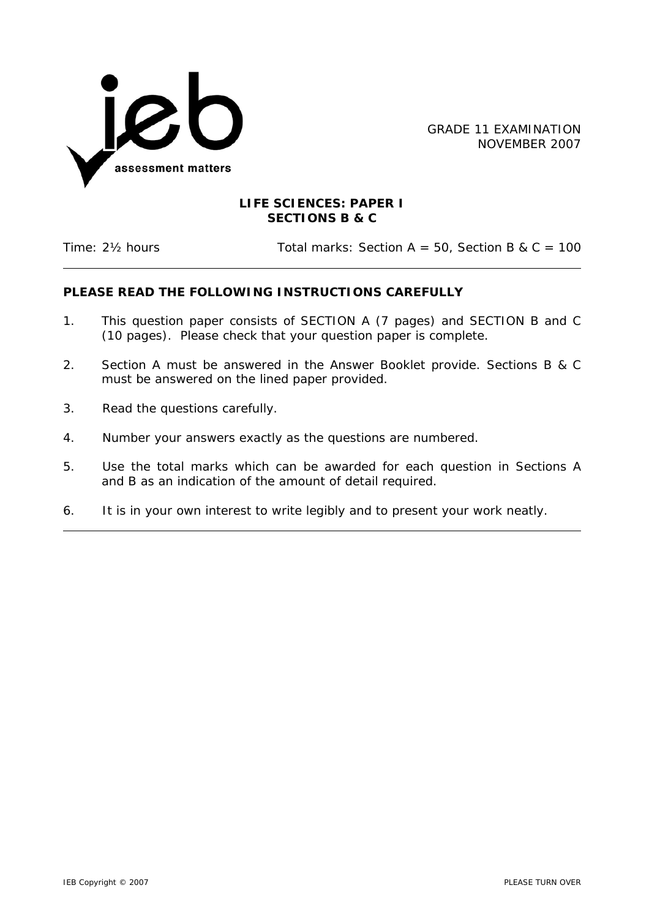

GRADE 11 EXAMINATION NOVEMBER 2007

## **LIFE SCIENCES: PAPER I SECTIONS B & C**

Time:  $2\frac{1}{2}$  hours Total marks: Section A = 50, Section B & C = 100

## **PLEASE READ THE FOLLOWING INSTRUCTIONS CAREFULLY**

- 1. This question paper consists of SECTION A (7 pages) and SECTION B and C (10 pages). Please check that your question paper is complete.
- 2. Section A must be answered in the Answer Booklet provide. Sections B & C must be answered on the lined paper provided.
- 3. Read the questions carefully.
- 4. Number your answers exactly as the questions are numbered.
- 5. Use the total marks which can be awarded for each question in Sections A and B as an indication of the amount of detail required.
- 6. It is in your own interest to write legibly and to present your work neatly.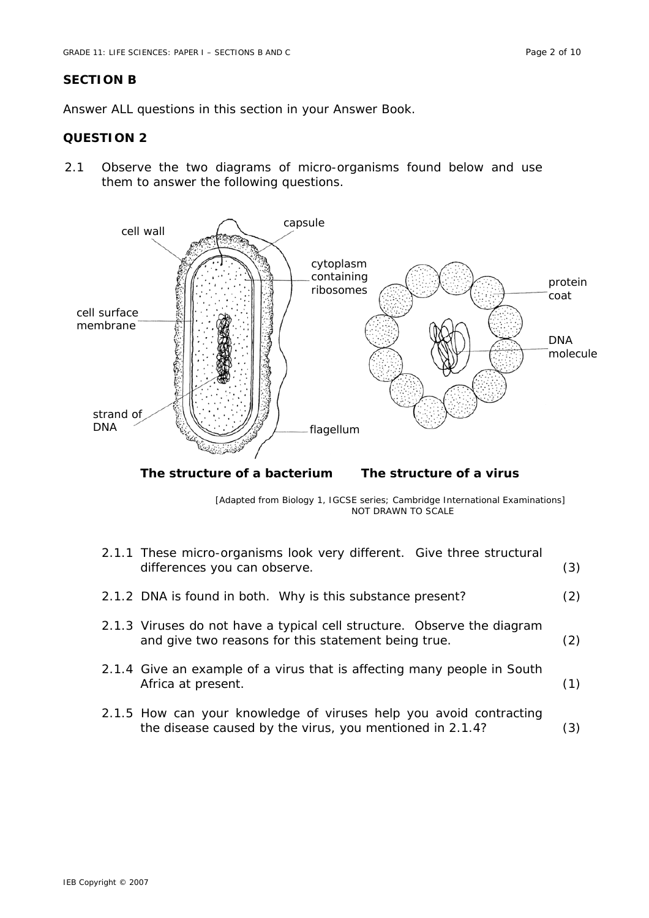## **SECTION B**

Answer ALL questions in this section in your Answer Book.

## **QUESTION 2**

2.1 Observe the two diagrams of micro-organisms found below and use them to answer the following questions.



**The structure of a bacterium The structure of a virus** 

[Adapted from *Biology 1, IGCSE series*; *Cambridge International Examinations*] NOT DRAWN TO SCALE

| 2.1.1 These micro-organisms look very different. Give three structural<br>differences you can observe.                         | (3) |
|--------------------------------------------------------------------------------------------------------------------------------|-----|
| 2.1.2 DNA is found in both. Why is this substance present?                                                                     | (2) |
| 2.1.3 Viruses do not have a typical cell structure. Observe the diagram<br>and give two reasons for this statement being true. | (2) |
| 2.1.4 Give an example of a virus that is affecting many people in South<br>Africa at present.                                  | (1) |
| 2.1.5 How can your knowledge of viruses help you avoid contracting<br>the disease caused by the virus, you mentioned in 2.1.4? | 3)  |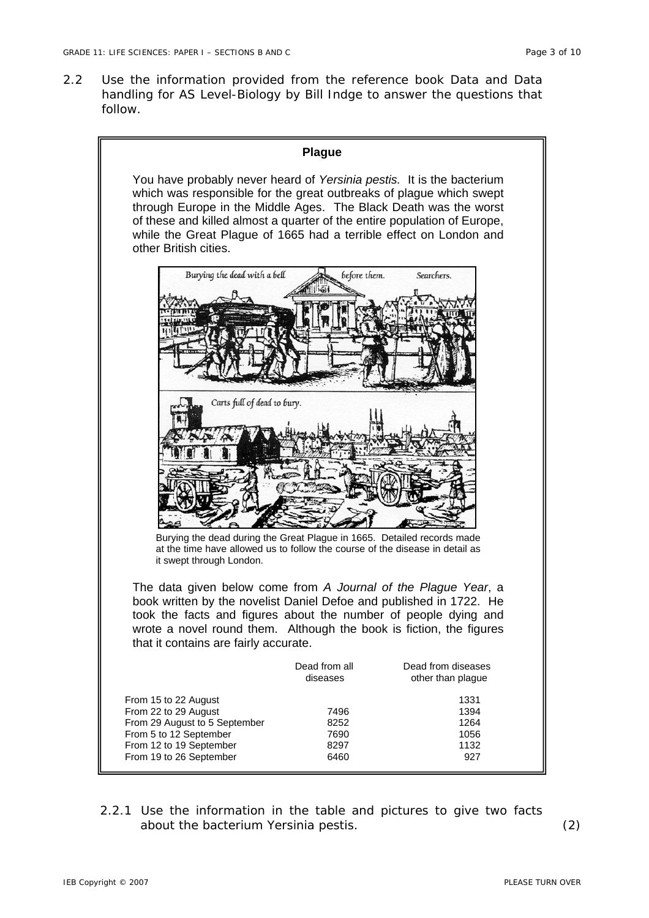2.2 Use the information provided from the reference book *Data and Data handling for AS Level-Biology* by Bill Indge to answer the questions that follow.



2.2.1 Use the information in the table and pictures to give two facts about the bacterium *Yersinia pestis*. (2)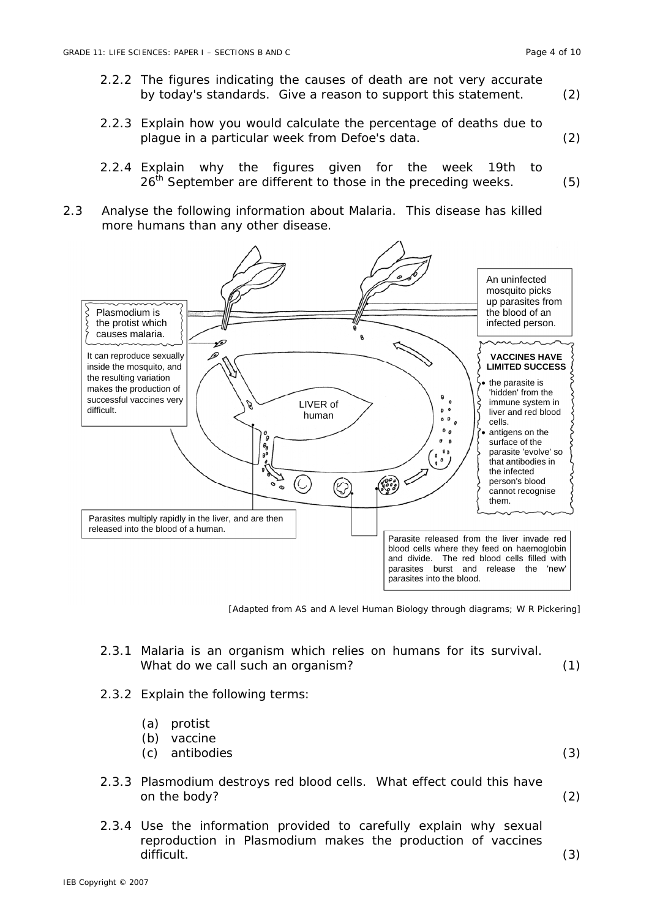- 2.2.2 The figures indicating the causes of death are not very accurate by today's standards. Give a reason to support this statement. (2)
- 2.2.3 Explain how you would calculate the percentage of deaths due to plague in a particular week from Defoe's data. (2)
- 2.2.4 Explain why the figures given for the week 19th to  $26<sup>th</sup>$  September are different to those in the preceding weeks.  $(5)$
- 2.3 Analyse the following information about Malaria. This disease has killed more humans than any other disease.



[Adapted from *AS and A level Human Biology through diagrams*; W R Pickering]

- 2.3.1 Malaria is an organism which relies on humans for its survival. What do we call such an organism? (1)
- 2.3.2 Explain the following terms:
	- (a) protist
	- (b) vaccine
	- (c) antibodies (3)
- 2.3.3 Plasmodium destroys red blood cells. What effect could this have on the body? (2)
	-
- 2.3.4 Use the information provided to carefully explain why sexual reproduction in Plasmodium makes the production of vaccines difficult. (3)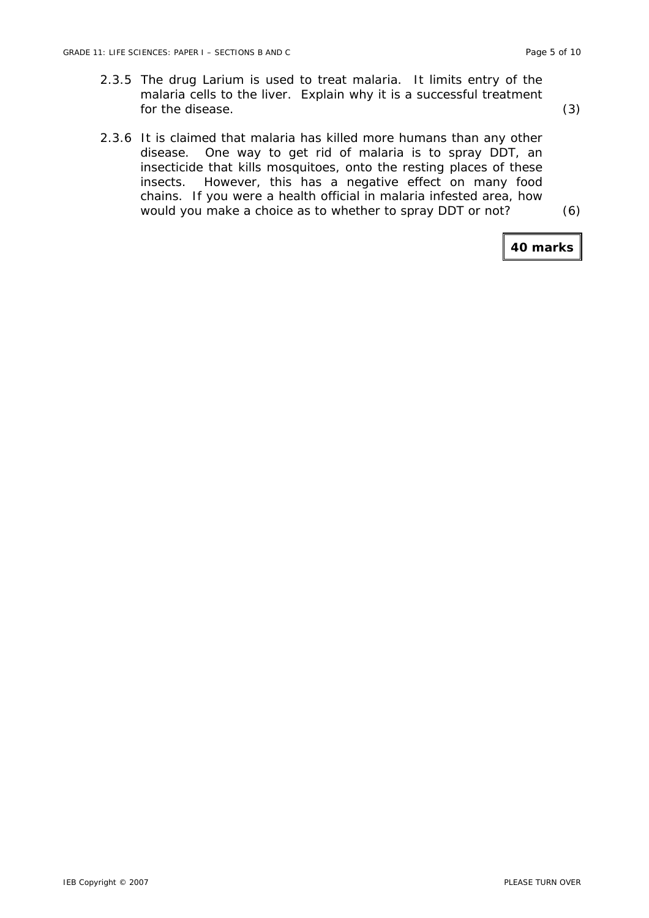- 2.3.5 The drug Larium is used to treat malaria. It limits entry of the malaria cells to the liver. Explain why it is a successful treatment for the disease. (3)
- 2.3.6 It is claimed that malaria has killed more humans than any other disease. One way to get rid of malaria is to spray DDT, an insecticide that kills mosquitoes, onto the resting places of these insects. However, this has a negative effect on many food chains. If you were a health official in malaria infested area, how would you make a choice as to whether to spray DDT or not? (6)

**40 marks**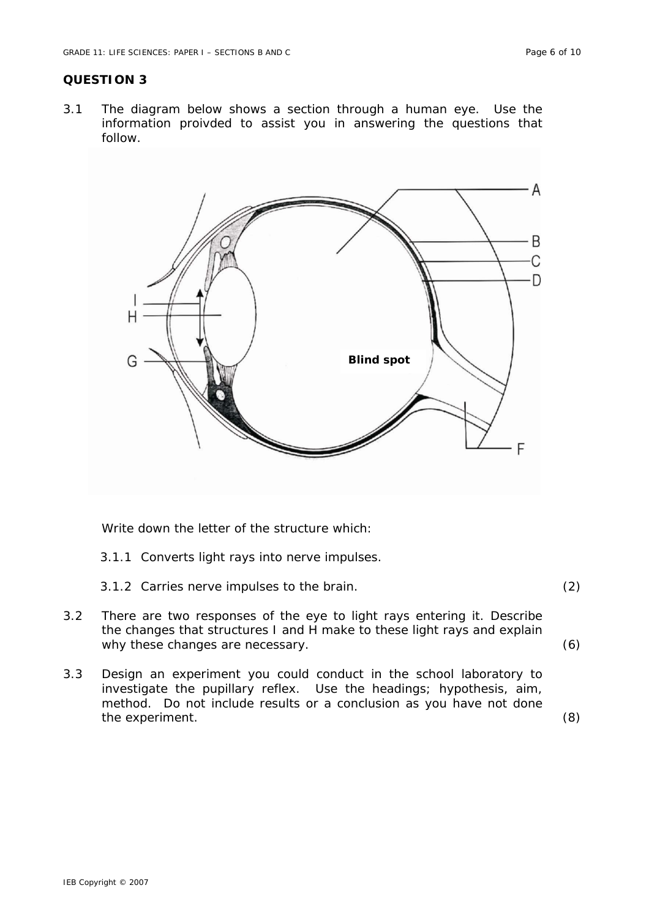#### **QUESTION 3**

3.1 The diagram below shows a section through a human eye. Use the information proivded to assist you in answering the questions that follow.



Write down the letter of the structure which:

- 3.1.1 Converts light rays into nerve impulses.
- 3.1.2 Carries nerve impulses to the brain. (2)
- 3.2 There are two responses of the eye to light rays entering it. Describe the changes that structures I and H make to these light rays and explain why these changes are necessary. (6)
- 3.3 Design an experiment you could conduct in the school laboratory to investigate the pupillary reflex. Use the headings; hypothesis, aim, method. Do not include results or a conclusion as you have not done the experiment. (8)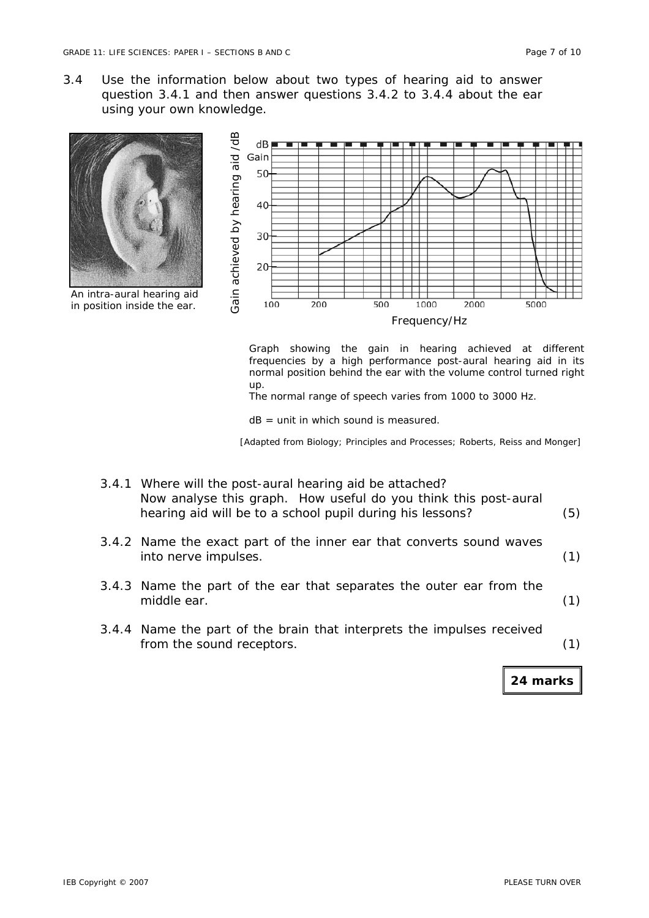3.4 Use the information below about two types of hearing aid to answer question 3.4.1 and then answer questions 3.4.2 to 3.4.4 about the ear using your own knowledge.



Graph showing the gain in hearing achieved at different frequencies by a high performance post-aural hearing aid in its normal position behind the ear with the volume control turned right up.

The normal range of speech varies from 1000 to 3000 Hz.

 $dB =$  unit in which sound is measured.

[Adapted from *Biology*; *Principles and Processes*; Roberts, Reiss and Monger]

| 3.4.1 Where will the post-aural hearing aid be attached?        |     |
|-----------------------------------------------------------------|-----|
| Now analyse this graph. How useful do you think this post-aural |     |
| hearing aid will be to a school pupil during his lessons?       | (5) |
|                                                                 |     |

- 3.4.2 Name the exact part of the inner ear that converts sound waves into nerve impulses. (1)
- 3.4.3 Name the part of the ear that separates the outer ear from the middle ear. (1)
- 3.4.4 Name the part of the brain that interprets the impulses received from the sound receptors. (1)

**24 marks**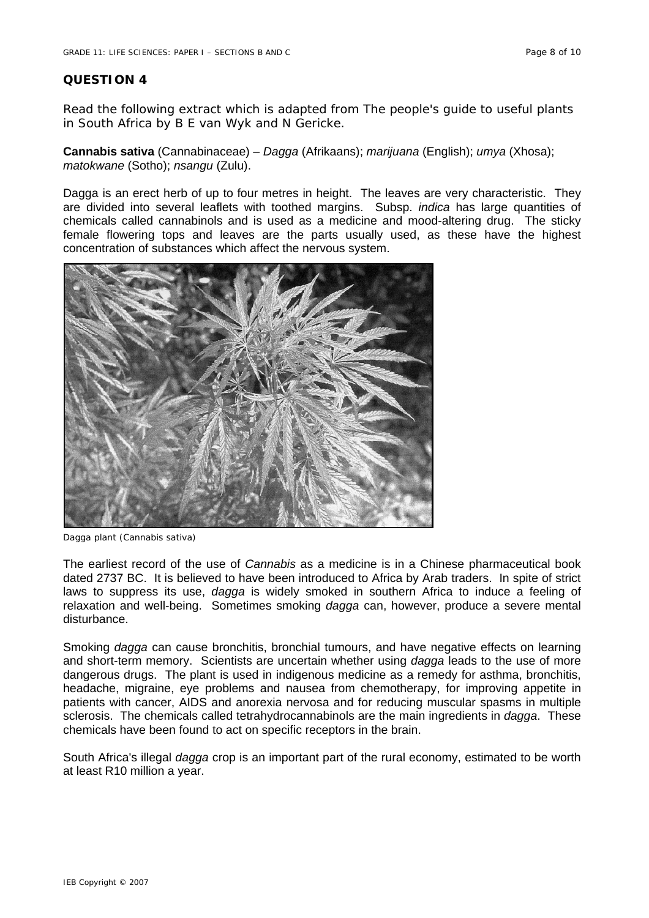#### **QUESTION 4**

Read the following extract which is adapted from *The people's guide to useful plants in South Africa* by B E van Wyk and N Gericke.

**Cannabis sativa** (Cannabinaceae) – *Dagga* (Afrikaans); *marijuana* (English); *umya* (Xhosa); *matokwane* (Sotho); *nsangu* (Zulu).

Dagga is an erect herb of up to four metres in height. The leaves are very characteristic. They are divided into several leaflets with toothed margins. Subsp. *indica* has large quantities of chemicals called cannabinols and is used as a medicine and mood-altering drug. The sticky female flowering tops and leaves are the parts usually used, as these have the highest concentration of substances which affect the nervous system.



Dagga plant (*Cannabis sativa*)

The earliest record of the use of *Cannabis* as a medicine is in a Chinese pharmaceutical book dated 2737 BC. It is believed to have been introduced to Africa by Arab traders. In spite of strict laws to suppress its use, *dagga* is widely smoked in southern Africa to induce a feeling of relaxation and well-being. Sometimes smoking *dagga* can, however, produce a severe mental disturbance.

Smoking *dagga* can cause bronchitis, bronchial tumours, and have negative effects on learning and short-term memory. Scientists are uncertain whether using *dagga* leads to the use of more dangerous drugs. The plant is used in indigenous medicine as a remedy for asthma, bronchitis, headache, migraine, eye problems and nausea from chemotherapy, for improving appetite in patients with cancer, AIDS and anorexia nervosa and for reducing muscular spasms in multiple sclerosis. The chemicals called tetrahydrocannabinols are the main ingredients in *dagga*. These chemicals have been found to act on specific receptors in the brain.

South Africa's illegal *dagga* crop is an important part of the rural economy, estimated to be worth at least R10 million a year.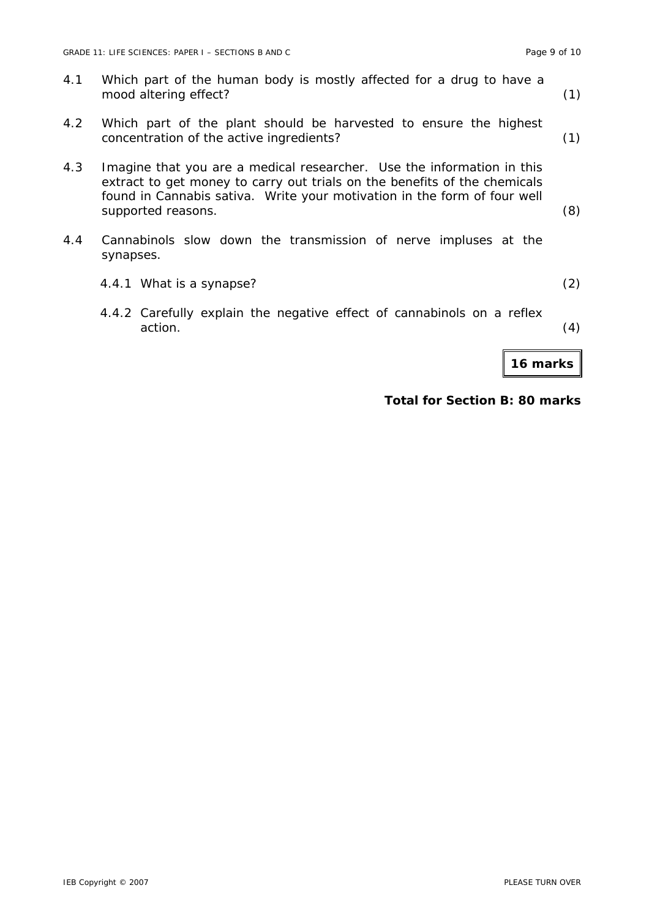|     | <b>16 marks</b>                                                                                                                                                                                                                                               |     |
|-----|---------------------------------------------------------------------------------------------------------------------------------------------------------------------------------------------------------------------------------------------------------------|-----|
|     | 4.4.2 Carefully explain the negative effect of cannabinols on a reflex<br>action.                                                                                                                                                                             | (4) |
|     | 4.4.1 What is a synapse?                                                                                                                                                                                                                                      | (2) |
| 4.4 | Cannabinols slow down the transmission of nerve impluses at the<br>synapses.                                                                                                                                                                                  |     |
| 4.3 | Imagine that you are a medical researcher. Use the information in this<br>extract to get money to carry out trials on the benefits of the chemicals<br>found in <i>Cannabis sativa</i> . Write your motivation in the form of four well<br>supported reasons. | (8) |
| 4.2 | Which part of the plant should be harvested to ensure the highest<br>concentration of the active ingredients?                                                                                                                                                 | (1) |
| 4.1 | Which part of the human body is mostly affected for a drug to have a<br>mood altering effect?                                                                                                                                                                 | (1) |

# **Total for Section B: 80 marks**